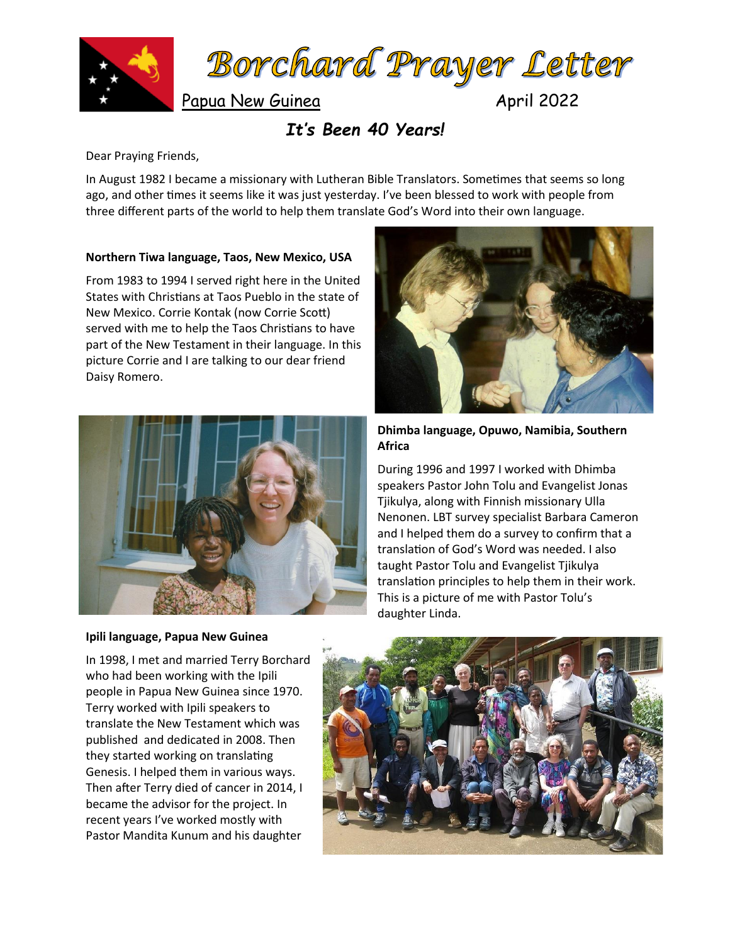



Papua New Guinea April 2022

# *It's Been 40 Years!*

Dear Praying Friends,

In August 1982 I became a missionary with Lutheran Bible Translators. Sometimes that seems so long ago, and other times it seems like it was just yesterday. I've been blessed to work with people from three different parts of the world to help them translate God's Word into their own language.

## **Northern Tiwa language, Taos, New Mexico, USA**

From 1983 to 1994 I served right here in the United States with Christians at Taos Pueblo in the state of New Mexico. Corrie Kontak (now Corrie Scott) served with me to help the Taos Christians to have part of the New Testament in their language. In this picture Corrie and I are talking to our dear friend Daisy Romero.



#### **Ipili language, Papua New Guinea**

In 1998, I met and married Terry Borchard who had been working with the Ipili people in Papua New Guinea since 1970. Terry worked with Ipili speakers to translate the New Testament which was published and dedicated in 2008. Then they started working on translating Genesis. I helped them in various ways. Then after Terry died of cancer in 2014, I became the advisor for the project. In recent years I've worked mostly with Pastor Mandita Kunum and his daughter



#### **Dhimba language, Opuwo, Namibia, Southern Africa**

During 1996 and 1997 I worked with Dhimba speakers Pastor John Tolu and Evangelist Jonas Tjikulya, along with Finnish missionary Ulla Nenonen. LBT survey specialist Barbara Cameron and I helped them do a survey to confirm that a translation of God's Word was needed. I also taught Pastor Tolu and Evangelist Tjikulya translation principles to help them in their work. This is a picture of me with Pastor Tolu's daughter Linda.